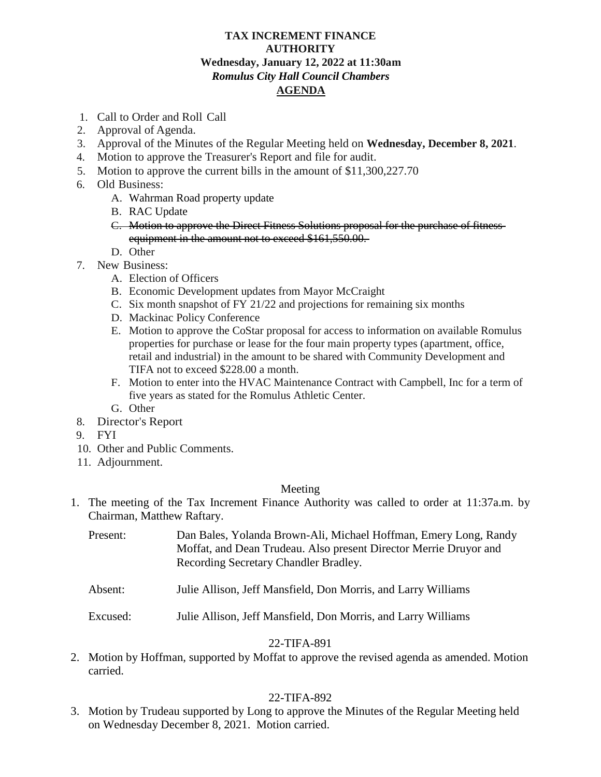# **TAX INCREMENT FINANCE AUTHORITY Wednesday, January 12, 2022 at 11:30am** *Romulus City Hall Council Chambers* **AGENDA**

- 1. Call to Order and Roll Call
- 2. Approval of Agenda.
- 3. Approval of the Minutes of the Regular Meeting held on **Wednesday, December 8, 2021**.
- 4. Motion to approve the Treasurer's Report and file for audit.
- 5. Motion to approve the current bills in the amount of \$11,300,227.70
- 6. Old Business:
	- A. Wahrman Road property update
	- B. RAC Update
	- C. Motion to approve the Direct Fitness Solutions proposal for the purchase of fitness equipment in the amount not to exceed \$161,550,00.
	- D. Other
- 7. New Business:
	- A. Election of Officers
	- B. Economic Development updates from Mayor McCraight
	- C. Six month snapshot of FY 21/22 and projections for remaining six months
	- D. Mackinac Policy Conference
	- E. Motion to approve the CoStar proposal for access to information on available Romulus properties for purchase or lease for the four main property types (apartment, office, retail and industrial) in the amount to be shared with Community Development and TIFA not to exceed \$228.00 a month.
	- F. Motion to enter into the HVAC Maintenance Contract with Campbell, Inc for a term of five years as stated for the Romulus Athletic Center.
	- G. Other
- 8. Director's Report
- 9. FYI
- 10. Other and Public Comments.
- 11. Adjournment.

# Meeting

1. The meeting of the Tax Increment Finance Authority was called to order at 11:37a.m. by Chairman, Matthew Raftary.

| Present: | Dan Bales, Yolanda Brown-Ali, Michael Hoffman, Emery Long, Randy  |
|----------|-------------------------------------------------------------------|
|          | Moffat, and Dean Trudeau. Also present Director Merrie Druyor and |
|          | Recording Secretary Chandler Bradley.                             |

- Absent: Julie Allison, Jeff Mansfield, Don Morris, and Larry Williams
- Excused: Julie Allison, Jeff Mansfield, Don Morris, and Larry Williams

# 22-TIFA-891

2. Motion by Hoffman, supported by Moffat to approve the revised agenda as amended. Motion carried.

# 22-TIFA-892

3. Motion by Trudeau supported by Long to approve the Minutes of the Regular Meeting held on Wednesday December 8, 2021. Motion carried.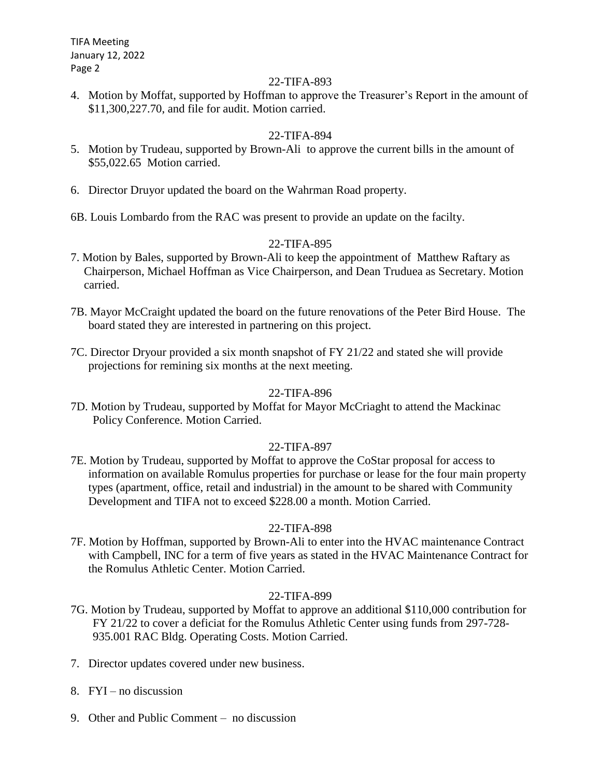TIFA Meeting January 12, 2022 Page 2

## 22-TIFA-893

4. Motion by Moffat, supported by Hoffman to approve the Treasurer's Report in the amount of \$11,300,227.70, and file for audit. Motion carried.

## 22-TIFA-894

- 5. Motion by Trudeau, supported by Brown-Ali to approve the current bills in the amount of \$55,022.65 Motion carried.
- 6. Director Druyor updated the board on the Wahrman Road property.
- 6B. Louis Lombardo from the RAC was present to provide an update on the facilty.

## 22-TIFA-895

- 7. Motion by Bales, supported by Brown-Ali to keep the appointment of Matthew Raftary as Chairperson, Michael Hoffman as Vice Chairperson, and Dean Truduea as Secretary. Motion carried.
- 7B. Mayor McCraight updated the board on the future renovations of the Peter Bird House. The board stated they are interested in partnering on this project.
- 7C. Director Dryour provided a six month snapshot of FY 21/22 and stated she will provide projections for remining six months at the next meeting.

## 22-TIFA-896

7D. Motion by Trudeau, supported by Moffat for Mayor McCriaght to attend the Mackinac Policy Conference. Motion Carried.

## 22-TIFA-897

7E. Motion by Trudeau, supported by Moffat to approve the CoStar proposal for access to information on available Romulus properties for purchase or lease for the four main property types (apartment, office, retail and industrial) in the amount to be shared with Community Development and TIFA not to exceed \$228.00 a month. Motion Carried.

## 22-TIFA-898

7F. Motion by Hoffman, supported by Brown-Ali to enter into the HVAC maintenance Contract with Campbell, INC for a term of five years as stated in the HVAC Maintenance Contract for the Romulus Athletic Center. Motion Carried.

## 22-TIFA-899

- 7G. Motion by Trudeau, supported by Moffat to approve an additional \$110,000 contribution for FY 21/22 to cover a deficiat for the Romulus Athletic Center using funds from 297-728- 935.001 RAC Bldg. Operating Costs. Motion Carried.
- 7. Director updates covered under new business.
- 8. FYI no discussion
- 9. Other and Public Comment no discussion